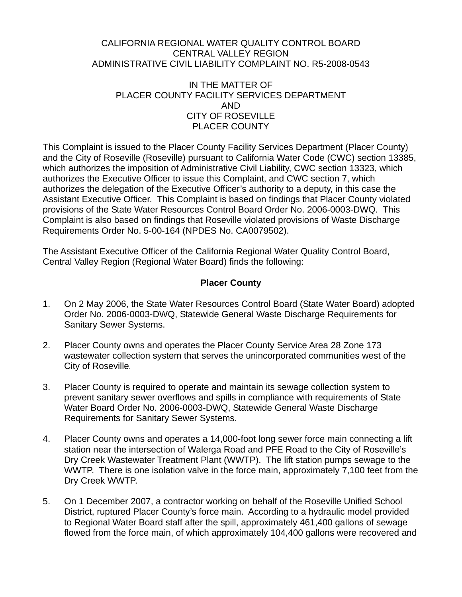#### CALIFORNIA REGIONAL WATER QUALITY CONTROL BOARD CENTRAL VALLEY REGION ADMINISTRATIVE CIVIL LIABILITY COMPLAINT NO. R5-2008-0543

### IN THE MATTER OF PLACER COUNTY FACILITY SERVICES DEPARTMENT AND CITY OF ROSEVILLE PLACER COUNTY

<span id="page-0-3"></span><span id="page-0-2"></span><span id="page-0-1"></span><span id="page-0-0"></span>This Complaint is issued to the [Placer County Facility Services Department](#page-0-0) (Placer County) and the [City of Roseville](#page-0-1) (Roseville) pursuant to California Water Code (CWC) section 13385, which authorizes the imposition of Administrative Civil Liability, CWC section 13323, which authorizes the Executive Officer to issue this Complaint, and CWC section 7, which authorizes the delegation of the Executive Officer's authority to a deputy, in this case the Assistant Executive Officer. This Complaint is based on findings that [Placer County](#page-0-2) violated provisions of the State Water Resources Control Board Order No. 2006-0003-DWQ. This Complaint is also based on findings that [Roseville](#page-0-3) violated provisions of Waste Discharge Requirements Order No. 5-00-164 (NPDES No. CA0079502).

The Assistant Executive Officer of the California Regional Water Quality Control Board, Central Valley Region (Regional Water Board) finds the following:

# **[Placer County](#page-0-2)**

- 1. On 2 May 2006, the State Water Resources Control Board (State Water Board) adopted Order No. 2006-0003-DWQ, Statewide General Waste Discharge Requirements for Sanitary Sewer Systems.
- 2. [Placer County](#page-0-2) owns and operates the Placer County Service Area 28 Zone 173 wastewater collection system that serves the unincorporated communities west of the City of Roseville.
- <span id="page-0-4"></span>3. [Placer County](#page-0-2) is required to operate and maintain its sewage collection system to prevent sanitary sewer overflows and spills in compliance with requirements of State Water Board Order No. 2006-0003-DWQ, Statewide General Waste Discharge Requirements for Sanitary Sewer Systems.
- 4. [Placer County](#page-0-2) owns and operates a 14,000-foot long sewer force main connecting a lift station near the intersection of Walerga Road and PFE Road to the City of Roseville's Dry Creek Wastewater Treatment Plant (WWTP). The lift station pumps sewage to the WWTP. There is one isolation valve in the force main, approximately 7,100 feet from the Dry Creek WWTP.
- 5. On 1 December 2007, a contractor working on behalf of the Roseville Unified School District, ruptured Placer County's force main. According to a hydraulic model provided to Regional Water Board staff after the spill, approximately 461,400 gallons of sewage flowed from the force main, of which approximately 104,400 gallons were recovered and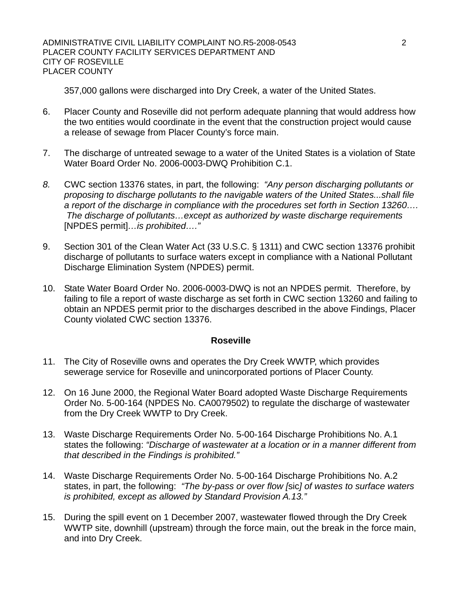357,000 gallons were discharged into Dry Creek, a water of the United States.

- 6. Placer County and Roseville did not perform adequate planning that would address how the two entities would coordinate in the event that the construction project would cause a release of sewage from Placer County's force main.
- 7. The discharge of untreated sewage to a water of the United States is a violation of [State](#page-0-4)  [Water Board Order No. 2006-0003-DWQ](#page-0-4) Prohibition C.1.
- *8.* CWC section 13376 states, in part, the following: *"Any person discharging pollutants or proposing to discharge pollutants to the navigable waters of the United States...shall file a report of the discharge in compliance with the procedures set forth in Section 13260…. The discharge of pollutants…except as authorized by waste discharge requirements*  [NPDES permit]*…is prohibited…."*
- 9. Section 301 of the Clean Water Act (33 U.S.C. § 1311) and CWC section 13376 prohibit discharge of pollutants to surface waters except in compliance with a National Pollutant Discharge Elimination System (NPDES) permit.
- 10. State Water Board Order No. 2006-0003-DWQ is not an NPDES permit. Therefore, by failing to file a report of waste discharge as set forth in CWC section 13260 and failing to obtain an NPDES permit prior to the discharges described in the above Findings, [Placer](#page-0-2)  [County](#page-0-2) violated CWC section 13376.

#### **[Roseville](#page-0-3)**

- 11. The City of Roseville owns and operates the Dry Creek WWTP, which provides sewerage service for Roseville and unincorporated portions of Placer County.
- <span id="page-1-0"></span>12. On 16 June 2000, the Regional Water Board adopted Waste Discharge Requirements Order No. 5-00-164 (NPDES No. CA0079502) to regulate the discharge of wastewater from the Dry Creek WWTP to Dry Creek.
- 13. [Waste Discharge Requirements Order No. 5-00-164](#page-1-0) Discharge Prohibitions No. A.1 states the following: *"Discharge of wastewater at a location or in a manner different from that described in the Findings is prohibited."*
- 14. [Waste Discharge Requirements Order No. 5-00-164](#page-1-0) Discharge Prohibitions No. A.2 states, in part, the following: *"The by-pass or over flow [*sic*] of wastes to surface waters is prohibited, except as allowed by Standard Provision A.13."*
- 15. During the spill event on 1 December 2007, wastewater flowed through the Dry Creek WWTP site, downhill (upstream) through the force main, out the break in the force main, and into Dry Creek.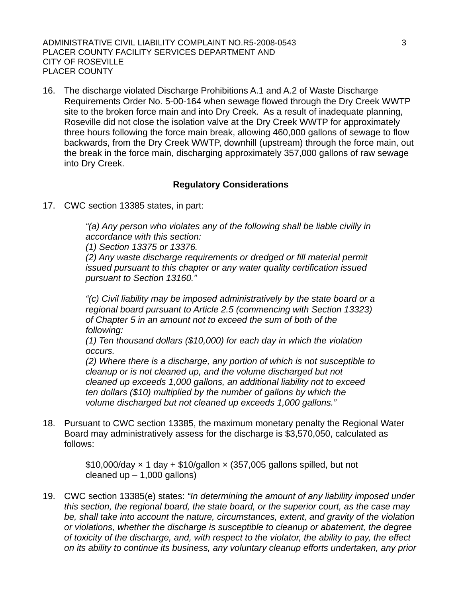ADMINISTRATIVE CIVIL LIABILITY COMPLAINT NO.R5-2008-0543 3 PLACER COUNTY FACILITY SERVICES DEPARTMENT AND CITY OF ROSEVILLE PLACER COUNTY

16. The discharge violated Discharge Prohibitions A.1 and A.2 of [Waste Discharge](#page-1-0)  [Requirements Order No. 5-00-164](#page-1-0) when sewage flowed through the Dry Creek WWTP site to the broken force main and into Dry Creek. As a result of inadequate planning, Roseville did not close the isolation valve at the Dry Creek WWTP for approximately three hours following the force main break, allowing 460,000 gallons of sewage to flow backwards, from the Dry Creek WWTP, downhill (upstream) through the force main, out the break in the force main, discharging approximately 357,000 gallons of raw sewage into Dry Creek.

### **Regulatory Considerations**

17. CWC section 13385 states, in part:

*"(a) Any person who violates any of the following shall be liable civilly in accordance with this section:* 

*(1) Section 13375 or 13376.* 

*(2) Any waste discharge requirements or dredged or fill material permit issued pursuant to this chapter or any water quality certification issued pursuant to Section 13160."* 

*"(c) Civil liability may be imposed administratively by the state board or a regional board pursuant to Article 2.5 (commencing with Section 13323) of Chapter 5 in an amount not to exceed the sum of both of the following:* 

*(1) Ten thousand dollars (\$10,000) for each day in which the violation occurs.* 

*(2) Where there is a discharge, any portion of which is not susceptible to cleanup or is not cleaned up, and the volume discharged but not cleaned up exceeds 1,000 gallons, an additional liability not to exceed ten dollars (\$10) multiplied by the number of gallons by which the volume discharged but not cleaned up exceeds 1,000 gallons."* 

18. Pursuant to CWC section 13385, the maximum monetary penalty the Regional Water Board may administratively assess for the discharge is \$3,570,050, calculated as follows:

> $$10,000$ /day  $\times$  1 day +  $$10$ /gallon  $\times$  (357,005 gallons spilled, but not cleaned up  $-1,000$  gallons)

19. CWC section 13385(e) states: *"In determining the amount of any liability imposed under this section, the regional board, the state board, or the superior court, as the case may be, shall take into account the nature, circumstances, extent, and gravity of the violation or violations, whether the discharge is susceptible to cleanup or abatement, the degree of toxicity of the discharge, and, with respect to the violator, the ability to pay, the effect on its ability to continue its business, any voluntary cleanup efforts undertaken, any prior*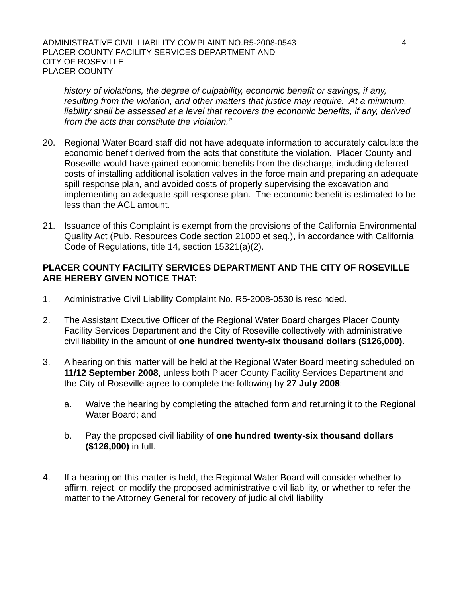*history of violations, the degree of culpability, economic benefit or savings, if any, resulting from the violation, and other matters that justice may require. At a minimum,*  liability shall be assessed at a level that recovers the economic benefits, if any, derived *from the acts that constitute the violation."* 

- 20. Regional Water Board staff did not have adequate information to accurately calculate the economic benefit derived from the acts that constitute the violation. Placer County and Roseville would have gained economic benefits from the discharge, including deferred costs of installing additional isolation valves in the force main and preparing an adequate spill response plan, and avoided costs of properly supervising the excavation and implementing an adequate spill response plan. The economic benefit is estimated to be less than the ACL amount.
- 21. Issuance of this Complaint is exempt from the provisions of the California Environmental Quality Act (Pub. Resources Code section 21000 et seq.), in accordance with California Code of Regulations, title 14, section 15321(a)(2).

## **[PLACER COUNTY FACILITY SERVICES DEPARTMENT](#page-0-0) AND THE [CITY OF ROSEVILLE](#page-0-1) ARE HEREBY GIVEN NOTICE THAT:**

- 1. Administrative Civil Liability Complaint No. R5-2008-0530 is rescinded.
- <span id="page-3-0"></span>2. The Assistant Executive Officer of the Regional Water Board charges [Placer County](#page-0-0)  [Facility Services Department](#page-0-0) and the [City of Roseville](#page-0-1) collectively with administrative civil liability in the amount of **one hundred twenty-six thousand dollars (\$126,000)**.
- 3. A hearing on this matter will be held at the Regional Water Board meeting scheduled on **11/12 September 2008**, unless both [Placer County Facility Services Department](#page-0-0) and the [City of Roseville](#page-0-1) agree to complete the following by **27 July 2008**:
	- a. Waive the hearing by completing the attached form and returning it to the Regional Water Board; and
	- b. Pay the proposed civil liability of **[one hundred twenty-six thousand dollars](#page-3-0)  [\(\\$126,000\)](#page-3-0)** in full.
- 4. If a hearing on this matter is held, the Regional Water Board will consider whether to affirm, reject, or modify the proposed administrative civil liability, or whether to refer the matter to the Attorney General for recovery of judicial civil liability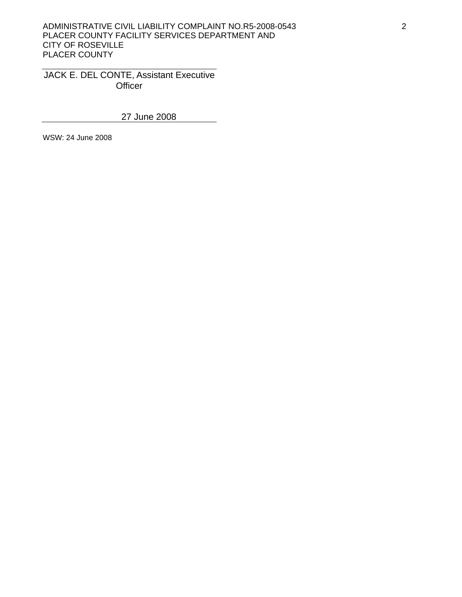#### ADMINISTRATIVE CIVIL LIABILITY COMPLAINT NO.R5-2008-0543 2 PLACER COUNTY FACILITY SERVICES DEPARTMENT AND CITY OF ROSEVILLE PLACER COUNTY

JACK E. DEL CONTE, Assistant Executive **Officer** 

27 June 2008

WSW: 24 June 2008